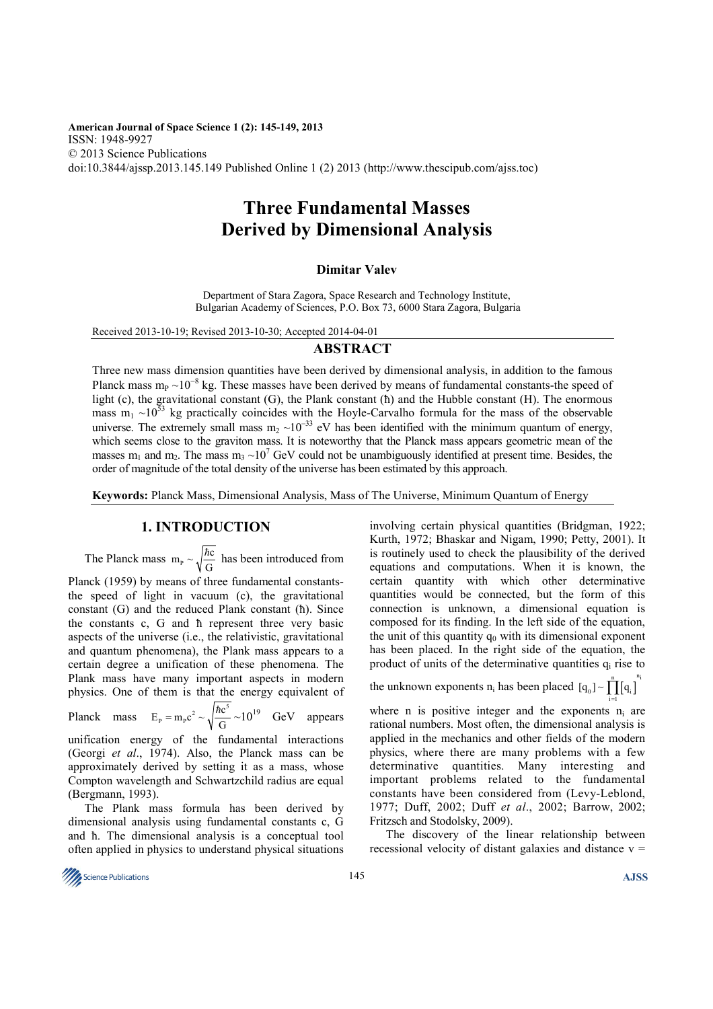**American Journal of Space Science 1 (2): 145-149, 2013**  ISSN: 1948-9927 © 2013 Science Publications doi:10.3844/ajssp.2013.145.149 Published Online 1 (2) 2013 (http://www.thescipub.com/ajss.toc)

# **Three Fundamental Masses Derived by Dimensional Analysis**

#### **Dimitar Valev**

Department of Stara Zagora, Space Research and Technology Institute, Bulgarian Academy of Sciences, P.O. Box 73, 6000 Stara Zagora, Bulgaria

Received 2013-10-19; Revised 2013-10-30; Accepted 2014-04-01

#### **ABSTRACT**

Three new mass dimension quantities have been derived by dimensional analysis, in addition to the famous Planck mass m<sub>P</sub> ~10<sup>-8</sup> kg. These masses have been derived by means of fundamental constants-the speed of light (c), the gravitational constant (G), the Plank constant (ħ) and the Hubble constant (H). The enormous mass  $m_1 \sim 10^{33}$  kg practically coincides with the Hoyle-Carvalho formula for the mass of the observable universe. The extremely small mass m<sub>2</sub> ~10<sup>-33</sup> eV has been identified with the minimum quantum of energy, which seems close to the graviton mass. It is noteworthy that the Planck mass appears geometric mean of the masses  $m_1$  and  $m_2$ . The mass  $m_3 \sim 10^7$  GeV could not be unambiguously identified at present time. Besides, the order of magnitude of the total density of the universe has been estimated by this approach.

**Keywords:** Planck Mass, Dimensional Analysis, Mass of The Universe, Minimum Quantum of Energy

## **1. INTRODUCTION**

The Planck mass  $m_{\rm p} \sim \sqrt{\frac{\hbar c}{G}}$  $\frac{hc}{\epsilon}$  has been introduced from

Planck (1959) by means of three fundamental constantsthe speed of light in vacuum (c), the gravitational constant (G) and the reduced Plank constant (ħ). Since the constants c, G and ħ represent three very basic aspects of the universe (i.e., the relativistic, gravitational and quantum phenomena), the Plank mass appears to a certain degree a unification of these phenomena. The Plank mass have many important aspects in modern physics. One of them is that the energy equivalent of

Planck mass  $E_p = m_p c^2 \sim \sqrt{\frac{\hbar c^5}{G}} \sim 10^{19}$  GeV appears unification energy of the fundamental interactions

(Georgi *et al*., 1974). Also, the Planck mass can be approximately derived by setting it as a mass, whose Compton wavelength and Schwartzchild radius are equal (Bergmann, 1993).

The Plank mass formula has been derived by dimensional analysis using fundamental constants c, G and ħ. The dimensional analysis is a conceptual tool often applied in physics to understand physical situations involving certain physical quantities (Bridgman, 1922; Kurth, 1972; Bhaskar and Nigam, 1990; Petty, 2001). It is routinely used to check the plausibility of the derived equations and computations. When it is known, the certain quantity with which other determinative quantities would be connected, but the form of this connection is unknown, a dimensional equation is composed for its finding. In the left side of the equation, the unit of this quantity  $q_0$  with its dimensional exponent has been placed. In the right side of the equation, the product of units of the determinative quantities  $q_i$  rise to

the unknown exponents  $n_i$  has been placed  $[q_0] \sim \prod_{i=1}^{n_i} [q_i]$  $[q_0]$  ~  $\prod[q_i]$ 

where n is positive integer and the exponents  $n_i$  are rational numbers. Most often, the dimensional analysis is applied in the mechanics and other fields of the modern physics, where there are many problems with a few determinative quantities. Many interesting and important problems related to the fundamental constants have been considered from (Levy-Leblond, 1977; Duff, 2002; Duff *et al*., 2002; Barrow, 2002; Fritzsch and Stodolsky, 2009).

The discovery of the linear relationship between recessional velocity of distant galaxies and distance  $v =$ 



 $i = 1$ =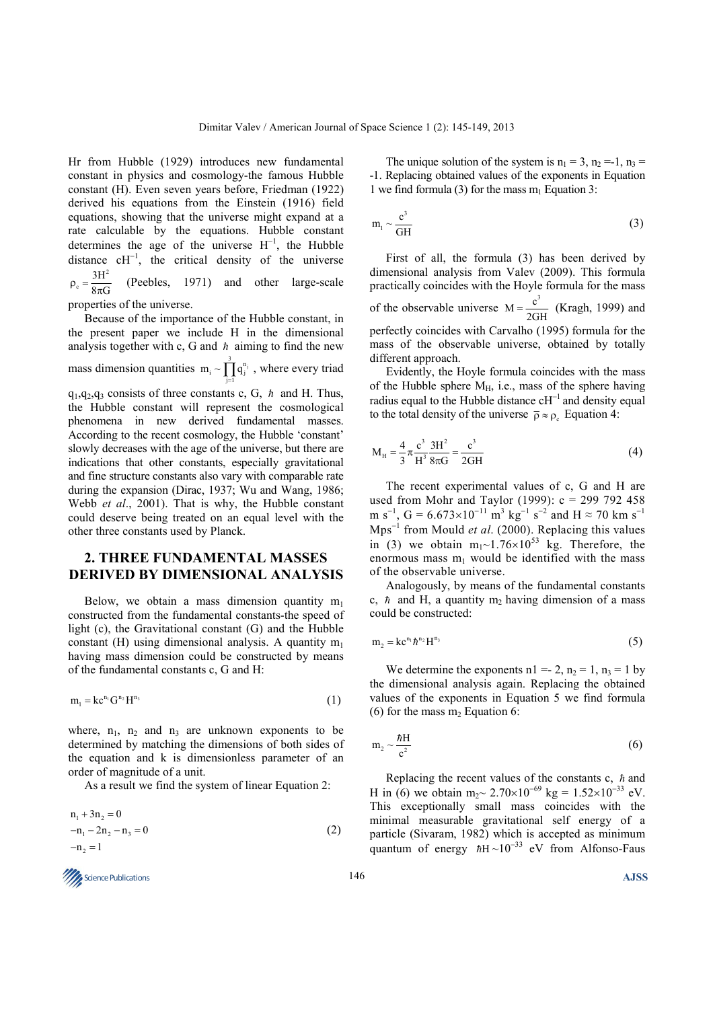Hr from Hubble (1929) introduces new fundamental constant in physics and cosmology-the famous Hubble constant (H). Even seven years before, Friedman (1922) derived his equations from the Einstein (1916) field equations, showing that the universe might expand at a rate calculable by the equations. Hubble constant determines the age of the universe  $H^{-1}$ , the Hubble distance  $cH^{-1}$ , the critical density of the universe 2  $c = \frac{3H}{8\pi}$  $\rho_c = \frac{3H}{8\pi G}$ (Peebles, 1971) and other large-scale

properties of the universe.

Because of the importance of the Hubble constant, in the present paper we include H in the dimensional analysis together with c, G and  $\hbar$  aiming to find the new mass dimension quantities  $m_i \sim \prod_{j=1}^3 q_j^{n_j}$ , where every triad  $q_1, q_2, q_3$  consists of three constants c, G, h and H. Thus, the Hubble constant will represent the cosmological phenomena in new derived fundamental masses. According to the recent cosmology, the Hubble 'constant' slowly decreases with the age of the universe, but there are indications that other constants, especially gravitational and fine structure constants also vary with comparable rate during the expansion (Dirac, 1937; Wu and Wang, 1986; Webb *et al*., 2001). That is why, the Hubble constant could deserve being treated on an equal level with the other three constants used by Planck.

### **2. THREE FUNDAMENTAL MASSES DERIVED BY DIMENSIONAL ANALYSIS**

Below, we obtain a mass dimension quantity  $m_1$ constructed from the fundamental constants-the speed of light (c), the Gravitational constant (G) and the Hubble constant (H) using dimensional analysis. A quantity  $m_1$ having mass dimension could be constructed by means of the fundamental constants c, G and H:

$$
m_1 = kc^{n_1}G^{n_2}H^{n_3} \tag{1}
$$

where,  $n_1$ ,  $n_2$  and  $n_3$  are unknown exponents to be determined by matching the dimensions of both sides of the equation and k is dimensionless parameter of an order of magnitude of a unit.

As a result we find the system of linear Equation 2:

$$
n_1 + 3n_2 = 0
$$
  
-n<sub>1</sub> - 2n<sub>2</sub> - n<sub>3</sub> = 0  
-n<sub>2</sub> = 1 (2)

**Solutions** 146 **AJSS AJSS** 

The unique solution of the system is  $n_1 = 3$ ,  $n_2 = -1$ ,  $n_3 =$ -1. Replacing obtained values of the exponents in Equation 1 we find formula (3) for the mass  $m_1$  Equation 3:

$$
m_1 \sim \frac{c^3}{GH} \tag{3}
$$

First of all, the formula (3) has been derived by dimensional analysis from Valev (2009). This formula practically coincides with the Hoyle formula for the mass of the observable universe  $M = \frac{c^3}{2GH}$  (Kragh, 1999) and perfectly coincides with Carvalho (1995) formula for the mass of the observable universe, obtained by totally different approach.

Evidently, the Hoyle formula coincides with the mass of the Hubble sphere  $M_H$ , i.e., mass of the sphere having radius equal to the Hubble distance  $cH^{-1}$  and density equal to the total density of the universe  $\bar{\rho} \approx \rho_c$  Equation 4:

$$
M_{H} = \frac{4}{3} \pi \frac{c^{3}}{H^{3}} \frac{3H^{2}}{8\pi G} = \frac{c^{3}}{2GH}
$$
 (4)

The recent experimental values of c, G and H are used from Mohr and Taylor (1999):  $c = 299$  792 458 m s<sup>-1</sup>, G = 6.673×10<sup>-11</sup> m<sup>3</sup> kg<sup>-1</sup> s<sup>-2</sup> and H ≈ 70 km s<sup>-1</sup> Mps<sup>−</sup><sup>1</sup> from Mould *et al*. (2000). Replacing this values in (3) we obtain  $m_1 \sim 1.76 \times 10^{53}$  kg. Therefore, the enormous mass  $m_1$  would be identified with the mass of the observable universe.

Analogously, by means of the fundamental constants c,  $\hbar$  and H, a quantity m<sub>2</sub> having dimension of a mass could be constructed:

$$
m_2 = k c^{n_1} \hbar^{n_2} H^{n_3} \tag{5}
$$

We determine the exponents  $nl = 2$ ,  $n_2 = 1$ ,  $n_3 = 1$  by the dimensional analysis again. Replacing the obtained values of the exponents in Equation 5 we find formula (6) for the mass  $m<sub>2</sub>$  Equation 6:

$$
m_2 \sim \frac{\hbar H}{c^2} \tag{6}
$$

Replacing the recent values of the constants  $c$ ,  $\hbar$  and H in (6) we obtain m<sub>2</sub>~ 2.70×10<sup>-69</sup> kg = 1.52×10<sup>-33</sup> eV. This exceptionally small mass coincides with the minimal measurable gravitational self energy of a particle (Sivaram, 1982) which is accepted as minimum quantum of energy  $\hbar$ H ~10<sup>-33</sup> eV from Alfonso-Faus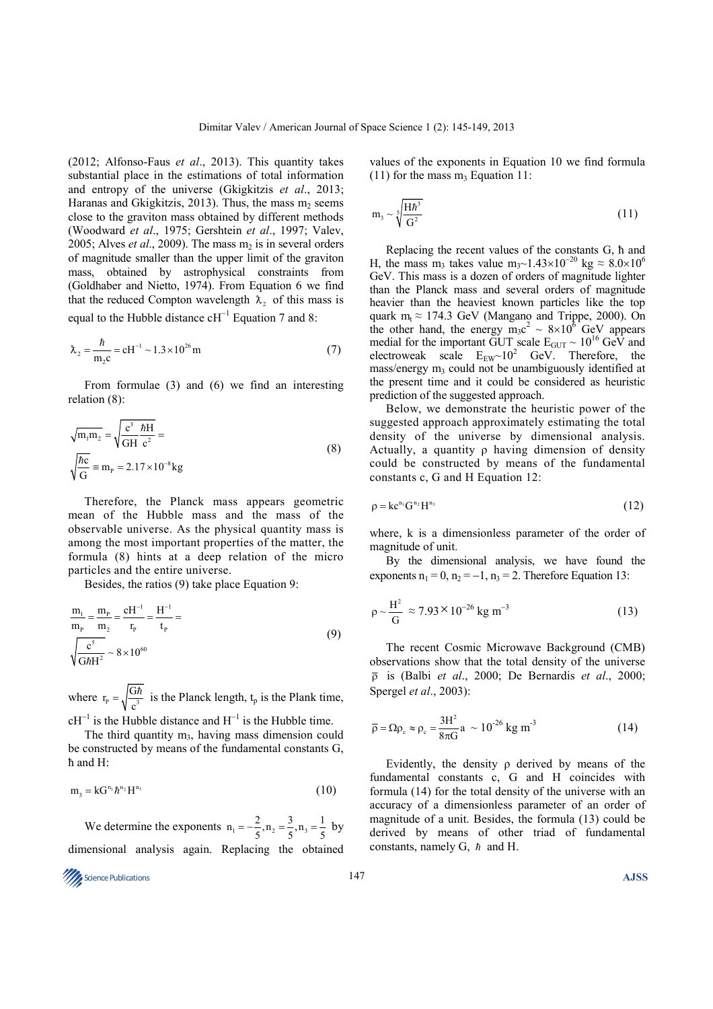(2012; Alfonso-Faus *et al*., 2013). This quantity takes substantial place in the estimations of total information and entropy of the universe (Gkigkitzis *et al*., 2013; Haranas and Gkigkitzis, 2013). Thus, the mass  $m_2$  seems close to the graviton mass obtained by different methods (Woodward *et al*., 1975; Gershtein *et al*., 1997; Valev, 2005; Alves *et al.*, 2009). The mass  $m<sub>2</sub>$  is in several orders of magnitude smaller than the upper limit of the graviton mass, obtained by astrophysical constraints from (Goldhaber and Nietto, 1974). From Equation 6 we find that the reduced Compton wavelength  $\lambda_2$  of this mass is equal to the Hubble distance  $cH^{-1}$  Equation 7 and 8:

$$
\lambda_2 = \frac{\hbar}{m_2 c} = cH^{-1} \sim 1.3 \times 10^{26} \,\mathrm{m} \tag{7}
$$

From formulae (3) and (6) we find an interesting relation (8):

$$
\sqrt{m_1 m_2} = \sqrt{\frac{c^3}{GH}} \frac{\hbar H}{c^2} =
$$
\n
$$
\sqrt{\frac{\hbar c}{G}} \equiv m_p = 2.17 \times 10^{-8} \text{kg}
$$
\n(8)

Therefore, the Planck mass appears geometric mean of the Hubble mass and the mass of the observable universe. As the physical quantity mass is among the most important properties of the matter, the formula (8) hints at a deep relation of the micro particles and the entire universe.

Besides, the ratios (9) take place Equation 9:

$$
\frac{m_1}{m_p} = \frac{m_p}{m_2} = \frac{cH^{-1}}{r_p} = \frac{H^{-1}}{t_p} = \sqrt{\frac{c^5}{G\hbar H^2}} \sim 8 \times 10^{60}
$$
\n(9)

where  $r_p = \sqrt{\frac{G\hbar}{c^3}}$  is the Planck length,  $t_p$  is the Plank time,  $cH^{-1}$  is the Hubble distance and  $H^{-1}$  is the Hubble time.

The third quantity  $m_3$ , having mass dimension could be constructed by means of the fundamental constants G, ħ and H:

$$
m_3 = kG^{n_1} \hbar^{n_2} H^{n_3}
$$
 (10)

We determine the exponents  $n_1 = -\frac{2}{5}, n_2 = \frac{3}{5}, n_3 = \frac{1}{5}$  by dimensional analysis again. Replacing the obtained

**Science Publications AJSS AJSS** 

values of the exponents in Equation 10 we find formula (11) for the mass  $m_3$  Equation 11:

$$
m_3 \sim \sqrt[5]{\frac{Hh^3}{G^2}}\tag{11}
$$

Replacing the recent values of the constants G, ħ and H, the mass m<sub>3</sub> takes value m<sub>3</sub>~1.43×10<sup>-20</sup> kg  $\approx 8.0\times10^{6}$ GeV. This mass is a dozen of orders of magnitude lighter than the Planck mass and several orders of magnitude heavier than the heaviest known particles like the top quark  $m_t \approx 174.3$  GeV (Mangano and Trippe, 2000). On the other hand, the energy  $m_3c^2 \sim 8 \times 10^6$  GeV appears medial for the important GUT scale  $E_{GUT} \sim 10^{16}$  GeV and electroweak scale  $E_{EW}$  -10<sup>2</sup> GeV. Therefore, the mass/energy  $m_3$  could not be unambiguously identified at the present time and it could be considered as heuristic prediction of the suggested approach.

Below, we demonstrate the heuristic power of the suggested approach approximately estimating the total density of the universe by dimensional analysis. Actually, a quantity  $\rho$  having dimension of density could be constructed by means of the fundamental constants c, G and H Equation 12:

$$
\rho = kc^{n_1}G^{n_2}H^{n_3} \tag{12}
$$

where, k is a dimensionless parameter of the order of magnitude of unit.

By the dimensional analysis, we have found the exponents  $n_1 = 0$ ,  $n_2 = -1$ ,  $n_3 = 2$ . Therefore Equation 13:

$$
\rho \sim \frac{H^2}{G} \approx 7.93 \times 10^{-26} \text{ kg m}^{-3}
$$
 (13)

The recent Cosmic Microwave Background (CMB) observations show that the total density of the universe ρ is (Balbi *et al*., 2000; De Bernardis *et al*., 2000; Spergel *et al*., 2003):

$$
\overline{\rho} = \Omega \rho_c \approx \rho_c = \frac{3H^2}{8\pi G} a \sim 10^{-26} \text{ kg m}^{-3}
$$
 (14)

Evidently, the density ρ derived by means of the fundamental constants c, G and H coincides with formula (14) for the total density of the universe with an accuracy of a dimensionless parameter of an order of magnitude of a unit. Besides, the formula (13) could be derived by means of other triad of fundamental constants, namely  $G$ ,  $\hbar$  and H.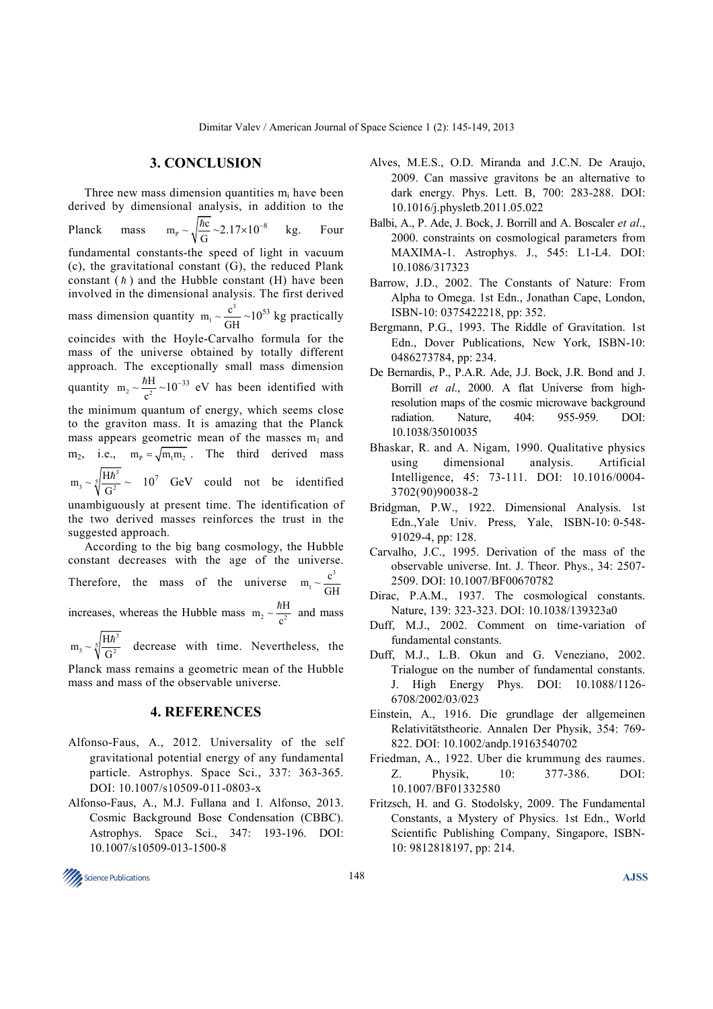## **3. CONCLUSION**

Three new mass dimension quantities  $m_i$  have been derived by dimensional analysis, in addition to the Planck mass  $m_{\rm p} \sim \sqrt{\frac{\hbar c}{\rm G}}$  $\frac{\hbar c}{\hbar c}$  ~2.17×10<sup>-8</sup> kg. Four fundamental constants-the speed of light in vacuum (c), the gravitational constant (G), the reduced Plank constant  $(h)$  and the Hubble constant  $(H)$  have been involved in the dimensional analysis. The first derived mass dimension quantity  $m_1 \sim \frac{c^3}{c^3}$  $m_1 \sim \frac{c^3}{GH} \sim 10^{53}$  kg practically coincides with the Hoyle-Carvalho formula for the mass of the universe obtained by totally different approach. The exceptionally small mass dimension quantity  $m_2 \sim \frac{\hbar H}{c^2}$  $\frac{\hbar H}{\hbar^2}$  ~10<sup>-33</sup> eV has been identified with the minimum quantum of energy, which seems close to the graviton mass. It is amazing that the Planck mass appears geometric mean of the masses  $m_1$  and  $m_2$ , i.e.,  $m_p = \sqrt{m_1 m_2}$ . The third derived mass  $m_3 \sim \sqrt[5]{\frac{H\hbar^3}{G^2}}$  $\frac{\hbar^3}{\hbar^2} \sim 10^7$  GeV could not be identified unambiguously at present time. The identification of the two derived masses reinforces the trust in the suggested approach. According to the big bang cosmology, the Hubble constant decreases with the age of the universe. Therefore, the mass of the universe  $m_1 \sim \frac{c^3}{\sigma s}$  $m_1 \sim \frac{c^3}{GH}$ 

increases, whereas the Hubble mass  $m_2 \sim \frac{\hbar H}{c^2}$  $\frac{\hbar H}{2}$  and mass

 $m_3 \sim \sqrt[5]{\frac{H\hbar^3}{G^2}}$  $\frac{\hbar^3}{\hbar^2}$  decrease with time. Nevertheless, the

Planck mass remains a geometric mean of the Hubble mass and mass of the observable universe.

#### **4. REFERENCES**

- Alfonso-Faus, A., 2012. Universality of the self gravitational potential energy of any fundamental particle. Astrophys. Space Sci., 337: 363-365. DOI: 10.1007/s10509-011-0803-x
- Alfonso-Faus, A., M.J. Fullana and I. Alfonso, 2013. Cosmic Background Bose Condensation (CBBC). Astrophys. Space Sci., 347: 193-196. DOI: 10.1007/s10509-013-1500-8
- Alves, M.E.S., O.D. Miranda and J.C.N. De Araujo, 2009. Can massive gravitons be an alternative to dark energy. Phys. Lett. B, 700: 283-288. DOI: 10.1016/j.physletb.2011.05.022
- Balbi, A., P. Ade, J. Bock, J. Borrill and A. Boscaler *et al*., 2000. constraints on cosmological parameters from MAXIMA-1. Astrophys. J., 545: L1-L4. DOI: 10.1086/317323
- Barrow, J.D., 2002. The Constants of Nature: From Alpha to Omega. 1st Edn., Jonathan Cape, London, ISBN-10: 0375422218, pp: 352.
- Bergmann, P.G., 1993. The Riddle of Gravitation. 1st Edn., Dover Publications, New York, ISBN-10: 0486273784, pp: 234.
- De Bernardis, P., P.A.R. Ade, J.J. Bock, J.R. Bond and J. Borrill *et al*., 2000. A flat Universe from highresolution maps of the cosmic microwave background radiation. Nature, 404: 955-959. DOI: 10.1038/35010035
- Bhaskar, R. and A. Nigam, 1990. Qualitative physics using dimensional analysis. Artificial Intelligence, 45: 73-111. DOI: 10.1016/0004- 3702(90)90038-2
- Bridgman, P.W., 1922. Dimensional Analysis. 1st Edn.,Yale Univ. Press, Yale, ISBN-10: 0-548- 91029-4, pp: 128.
- Carvalho, J.C., 1995. Derivation of the mass of the observable universe. Int. J. Theor. Phys., 34: 2507- 2509. DOI: 10.1007/BF00670782
- Dirac, P.A.M., 1937. The cosmological constants. Nature, 139: 323-323. DOI: 10.1038/139323a0
- Duff, M.J., 2002. Comment on time-variation of fundamental constants.
- Duff, M.J., L.B. Okun and G. Veneziano, 2002. Trialogue on the number of fundamental constants. J. High Energy Phys. DOI: 10.1088/1126- 6708/2002/03/023
- Einstein, A., 1916. Die grundlage der allgemeinen Relativitätstheorie. Annalen Der Physik, 354: 769- 822. DOI: 10.1002/andp.19163540702
- Friedman, A., 1922. Uber die krummung des raumes. Z. Physik, 10: 377-386. DOI: 10.1007/BF01332580
- Fritzsch, H. and G. Stodolsky, 2009. The Fundamental Constants, a Mystery of Physics. 1st Edn., World Scientific Publishing Company, Singapore, ISBN-10: 9812818197, pp: 214.